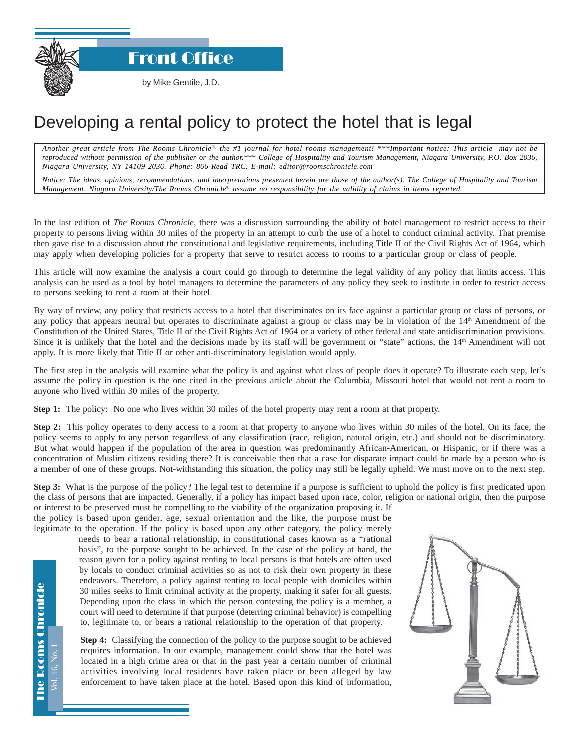Front Office

## Developing a rental policy to protect the hotel that is legal

*Another great article from The Rooms Chronicle*®*, the #1 journal for hotel rooms management! \*\*\*Important notice: This article may not be reproduced without permission of the publisher or the author.\*\*\* College of Hospitality and Tourism Management, Niagara University, P.O. Box 2036, Niagara University, NY 14109-2036. Phone: 866-Read TRC. E-mail: editor@roomschronicle.com*

*Notice: The ideas, opinions, recommendations, and interpretations presented herein are those of the author(s). The College of Hospitality and Tourism Management, Niagara University/The Rooms Chronicle*® *assume no responsibility for the validity of claims in items reported.*

In the last edition of *The Rooms Chronicle*, there was a discussion surrounding the ability of hotel management to restrict access to their property to persons living within 30 miles of the property in an attempt to curb the use of a hotel to conduct criminal activity. That premise then gave rise to a discussion about the constitutional and legislative requirements, including Title II of the Civil Rights Act of 1964, which may apply when developing policies for a property that serve to restrict access to rooms to a particular group or class of people.

This article will now examine the analysis a court could go through to determine the legal validity of any policy that limits access. This analysis can be used as a tool by hotel managers to determine the parameters of any policy they seek to institute in order to restrict access to persons seeking to rent a room at their hotel.

By way of review, any policy that restricts access to a hotel that discriminates on its face against a particular group or class of persons, or any policy that appears neutral but operates to discriminate against a group or class may be in violation of the 14th Amendment of the Constitution of the United States, Title II of the Civil Rights Act of 1964 or a variety of other federal and state antidiscrimination provisions. Since it is unlikely that the hotel and the decisions made by its staff will be government or "state" actions, the 14<sup>th</sup> Amendment will not apply. It is more likely that Title II or other anti-discriminatory legislation would apply.

The first step in the analysis will examine what the policy is and against what class of people does it operate? To illustrate each step, let's assume the policy in question is the one cited in the previous article about the Columbia, Missouri hotel that would not rent a room to anyone who lived within 30 miles of the property.

**Step 1:** The policy: No one who lives within 30 miles of the hotel property may rent a room at that property.

**Step 2:** This policy operates to deny access to a room at that property to anyone who lives within 30 miles of the hotel. On its face, the policy seems to apply to any person regardless of any classification (race, religion, natural origin, etc.) and should not be discriminatory. But what would happen if the population of the area in question was predominantly African-American, or Hispanic, or if there was a concentration of Muslim citizens residing there? It is conceivable then that a case for disparate impact could be made by a person who is a member of one of these groups. Not-withstanding this situation, the policy may still be legally upheld. We must move on to the next step.

**Step 3:** What is the purpose of the policy? The legal test to determine if a purpose is sufficient to uphold the policy is first predicated upon the class of persons that are impacted. Generally, if a policy has impact based upon race, color, religion or national origin, then the purpose or interest to be preserved must be compelling to the viability of the organization proposing it. If

the policy is based upon gender, age, sexual orientation and the like, the purpose must be legitimate to the operation. If the policy is based upon any other category, the policy merely

needs to bear a rational relationship, in constitutional cases known as a "rational basis", to the purpose sought to be achieved. In the case of the policy at hand, the reason given for a policy against renting to local persons is that hotels are often used by locals to conduct criminal activities so as not to risk their own property in these endeavors. Therefore, a policy against renting to local people with domiciles within 30 miles seeks to limit criminal activity at the property, making it safer for all guests. Depending upon the class in which the person contesting the policy is a member, a court will need to determine if that purpose (deterring criminal behavior) is compelling to, legitimate to, or bears a rational relationship to the operation of that property.

**Step 4:** Classifying the connection of the policy to the purpose sought to be achieved requires information. In our example, management could show that the hotel was located in a high crime area or that in the past year a certain number of criminal activities involving local residents have taken place or been alleged by law enforcement to have taken place at the hotel. Based upon this kind of information,



Vol. 16, No. 1

16. No.